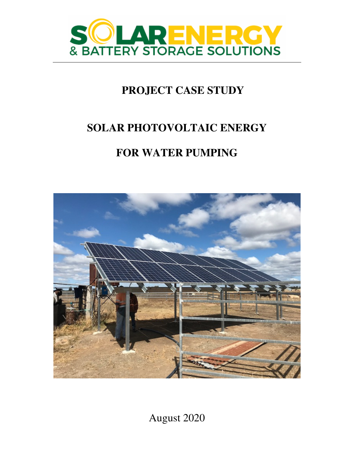

# **PROJECT CASE STUDY**

## **SOLAR PHOTOVOLTAIC ENERGY**

# **FOR WATER PUMPING**



August 2020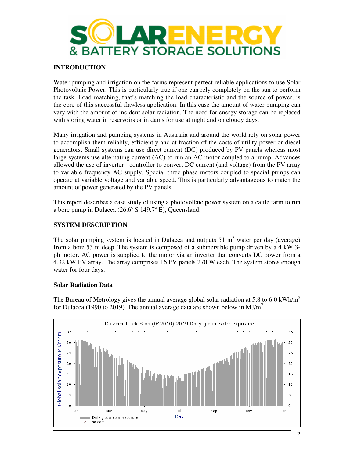

### **INTRODUCTION**

Water pumping and irrigation on the farms represent perfect reliable applications to use Solar Photovoltaic Power. This is particularly true if one can rely completely on the sun to perform the task. Load matching, that's matching the load characteristic and the source of power, is the core of this successful flawless application. In this case the amount of water pumping can vary with the amount of incident solar radiation. The need for energy storage can be replaced with storing water in reservoirs or in dams for use at night and on cloudy days.

Many irrigation and pumping systems in Australia and around the world rely on solar power to accomplish them reliably, efficiently and at fraction of the costs of utility power or diesel generators. Small systems can use direct current (DC) produced by PV panels whereas most large systems use alternating current (AC) to run an AC motor coupled to a pump. Advances allowed the use of inverter - controller to convert DC current (and voltage) from the PV array to variable frequency AC supply. Special three phase motors coupled to special pumps can operate at variable voltage and variable speed. This is particularly advantageous to match the amount of power generated by the PV panels.

This report describes a case study of using a photovoltaic power system on a cattle farm to run a bore pump in Dulacca  $(26.6^{\circ} S 149.7^{\circ} E)$ , Queensland.

#### **SYSTEM DESCRIPTION**

The solar pumping system is located in Dulacca and outputs  $51 \text{ m}^3$  water per day (average) from a bore 53 m deep. The system is composed of a submersible pump driven by a 4 kW 3 ph motor. AC power is supplied to the motor via an inverter that converts DC power from a 4.32 kW PV array. The array comprises 16 PV panels 270 W each. The system stores enough water for four days.

#### **Solar Radiation Data**

The Bureau of Metrology gives the annual average global solar radiation at 5.8 to 6.0 kWh/m<sup>2</sup> for Dulacca (1990 to 2019). The annual average data are shown below in MJ/m<sup>2</sup>.

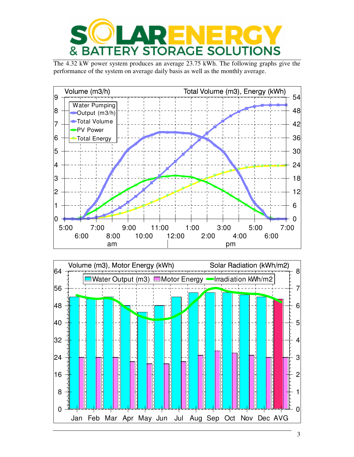

The 4.32 kW power system produces an average 23.75 kWh. The following graphs give the performance of the system on average daily basis as well as the monthly average.